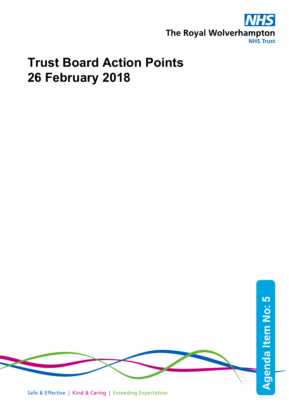

## **Trust Board Action Points 26 February 2018**

**Agenda Item No: Agenda Item No: 5** 

## Safe & Effective | Kind & Caring | Exceeding Expectation